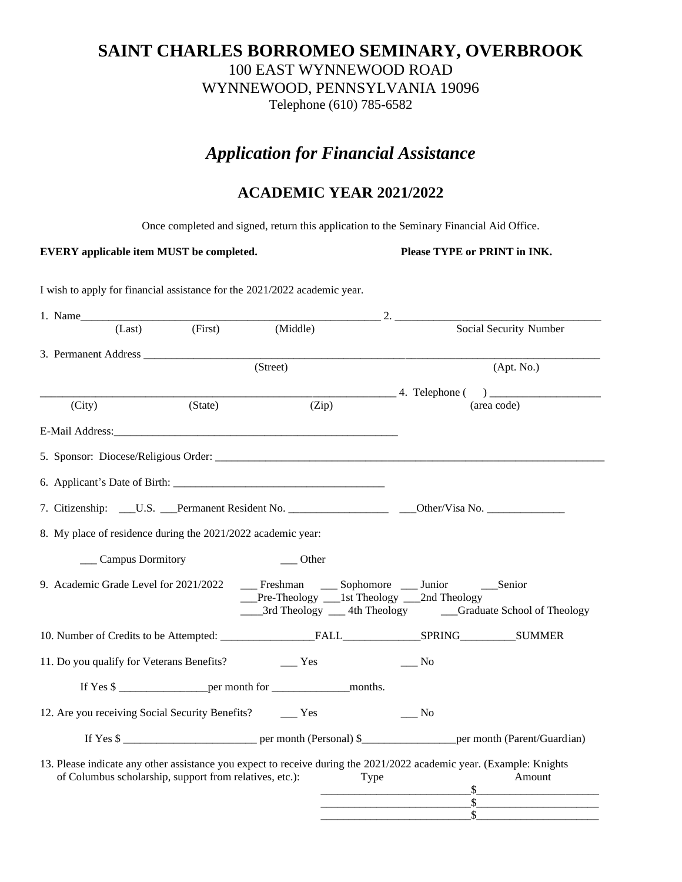## **SAINT CHARLES BORROMEO SEMINARY, OVERBROOK** 100 EAST WYNNEWOOD ROAD WYNNEWOOD, PENNSYLVANIA 19096 Telephone (610) 785-6582

# *Application for Financial Assistance*

# **ACADEMIC YEAR 2021/2022**

Once completed and signed, return this application to the Seminary Financial Aid Office.

**EVERY applicable item MUST be completed.** Please TYPE or PRINT in INK.

\_\_\_\_\_\_\_\_\_\_\_\_\_\_\_\_\_\_\_\_\_\_\_\_\_\_\_\$\_\_\_\_\_\_\_\_\_\_\_\_\_\_\_\_\_\_\_\_\_\_

I wish to apply for financial assistance for the 2021/2022 academic year.

|                                                              | 1. Name |                      |                                                         |                                                                                                                                                        |      |                   |                        |  |  |  |
|--------------------------------------------------------------|---------|----------------------|---------------------------------------------------------|--------------------------------------------------------------------------------------------------------------------------------------------------------|------|-------------------|------------------------|--|--|--|
|                                                              |         | (Last)               | (First)                                                 | (Middle)                                                                                                                                               |      |                   | Social Security Number |  |  |  |
|                                                              |         |                      |                                                         |                                                                                                                                                        |      |                   |                        |  |  |  |
|                                                              |         |                      |                                                         | (Street)                                                                                                                                               |      | (Apt. No.)        |                        |  |  |  |
|                                                              |         |                      |                                                         |                                                                                                                                                        |      |                   |                        |  |  |  |
|                                                              | (City)  |                      | (State)                                                 | (Zip)                                                                                                                                                  |      |                   | (area code)            |  |  |  |
|                                                              |         |                      |                                                         | E-Mail Address: The Mail Address:                                                                                                                      |      |                   |                        |  |  |  |
|                                                              |         |                      |                                                         |                                                                                                                                                        |      |                   |                        |  |  |  |
|                                                              |         |                      |                                                         |                                                                                                                                                        |      |                   |                        |  |  |  |
|                                                              |         |                      |                                                         |                                                                                                                                                        |      |                   |                        |  |  |  |
| 8. My place of residence during the 2021/2022 academic year: |         |                      |                                                         |                                                                                                                                                        |      |                   |                        |  |  |  |
|                                                              |         | ___ Campus Dormitory |                                                         | Other                                                                                                                                                  |      |                   |                        |  |  |  |
|                                                              |         |                      |                                                         | 9. Academic Grade Level for 2021/2022 ________ Freshman ______ Sophomore _____ Junior ________ Senior<br>_Pre-Theology ___1st Theology ___2nd Theology |      |                   |                        |  |  |  |
|                                                              |         |                      |                                                         |                                                                                                                                                        |      |                   |                        |  |  |  |
|                                                              |         |                      |                                                         |                                                                                                                                                        |      | No.               |                        |  |  |  |
|                                                              |         |                      |                                                         | If Yes \$                                                                                                                                              |      |                   |                        |  |  |  |
|                                                              |         |                      |                                                         | 12. Are you receiving Social Security Benefits? ________ Yes                                                                                           |      | $\frac{N_0}{N_0}$ |                        |  |  |  |
|                                                              |         |                      |                                                         |                                                                                                                                                        |      |                   | If Yes \$              |  |  |  |
|                                                              |         |                      | of Columbus scholarship, support from relatives, etc.): | 13. Please indicate any other assistance you expect to receive during the 2021/2022 academic year. (Example: Knights                                   | Type |                   | Amount                 |  |  |  |
|                                                              |         |                      |                                                         |                                                                                                                                                        |      |                   |                        |  |  |  |